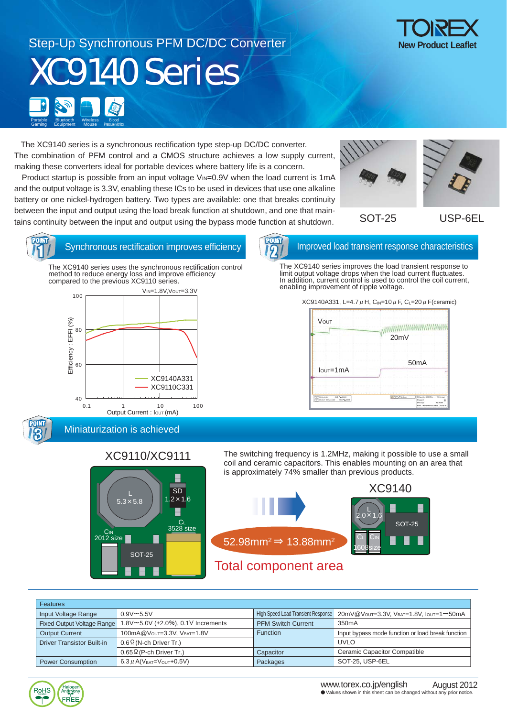### Step-Up Synchronous PFM DC/DC Converter XC9140 Series Bluetooth Portable Bluetooth<br>Gaming Equipment Gaming **Wireless Mouse** Blood Pressure Monitor

 The XC9140 series is a synchronous rectification type step-up DC/DC converter. The combination of PFM control and a CMOS structure achieves a low supply current, making these converters ideal for portable devices where battery life is a concern.

Product startup is possible from an input voltage  $V_{\text{IN}}=0.9V$  when the load current is 1mA and the output voltage is 3.3V, enabling these ICs to be used in devices that use one alkaline battery or one nickel-hydrogen battery. Two types are available: one that breaks continuity between the input and output using the load break function at shutdown, and one that maintains continuity between the input and output using the bypass mode function at shutdown.



USP-6EL



3

Synchronous rectification improves efficiency **IMPROVIDED** Improved load transient response characteristics

The XC9140 series uses the synchronous rectification control method to reduce energy loss and improve efficiency compared to the previous XC9110 series.



2

The XC9140 series improves the load transient response to limit output voltage drops when the load current fluctuates. In addition, current control is used to control the coil current, enabling improvement of ripple voltage.

XC9140A331, L=4.7  $\mu$  H, C<sub>IN</sub>=10  $\mu$  F, C<sub>L</sub>=20  $\mu$  F(ceramic)

| 20mV              |
|-------------------|
| 50 <sub>m</sub> A |
|                   |

Miniaturization is achieved

## XC9110/XC9111



The switching frequency is 1.2MHz, making it possible to use a small coil and ceramic capacitors. This enables mounting on an area that is approximately 74% smaller than previous products.



#### Input Voltage Range Fixed Output Voltage Range Driver Transistor Built-in High Speed Load Transient Response Function Packages Output Current 1.8V~5.0V (±2.0%), 0.1V Increments  $0.9V \sim 5.5V$ 0.6Ω(N-ch Driver Tr.) 0.65Ω(P-ch Driver Tr.)  $6.3 \mu$  A(VBAT=Vout+0.5V) 20mV@VOUT=3.3V, VBAT=1.8V, IOUT=1→50mA Input bypass mode function or load break function UVLO Ceramic Capacitor Compatible SOT-25, USP-6EL 100mA@Vout=3.3V, VBAT=1.8V Features PFM Switch Current 350mA **Capacitor** Power Consumption